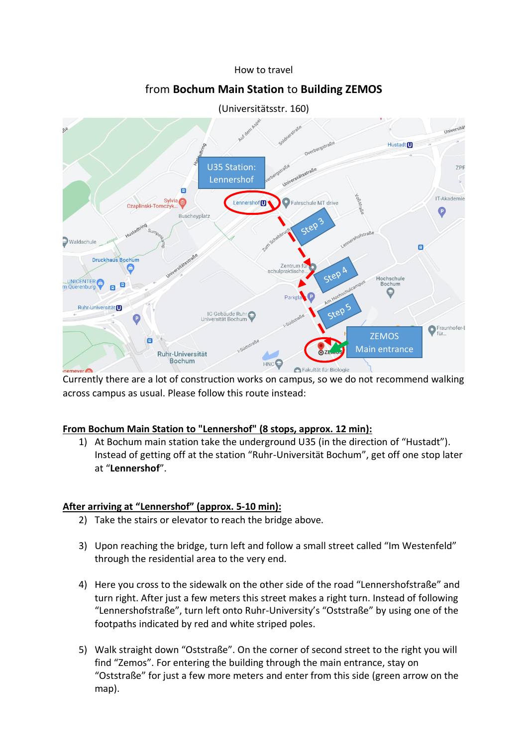#### How to travel

# from **Bochum Main Station** to **Building ZEMOS**



(Universitätsstr. 160)

Currently there are a lot of construction works on campus, so we do not recommend walking across campus as usual. Please follow this route instead:

### **From Bochum Main Station to "Lennershof" (8 stops, approx. 12 min):**

1) At Bochum main station take the underground U35 (in the direction of "Hustadt"). Instead of getting off at the station "Ruhr-Universität Bochum", get off one stop later at "**Lennershof**".

### **After arriving at "Lennershof" (approx. 5-10 min):**

- 2) Take the stairs or elevator to reach the bridge above.
- 3) Upon reaching the bridge, turn left and follow a small street called "Im Westenfeld" through the residential area to the very end.
- 4) Here you cross to the sidewalk on the other side of the road "Lennershofstraße" and turn right. After just a few meters this street makes a right turn. Instead of following "Lennershofstraße", turn left onto Ruhr-University's "Oststraße" by using one of the footpaths indicated by red and white striped poles.
- 5) Walk straight down "Oststraße". On the corner of second street to the right you will find "Zemos". For entering the building through the main entrance, stay on "Oststraße" for just a few more meters and enter from this side (green arrow on the map).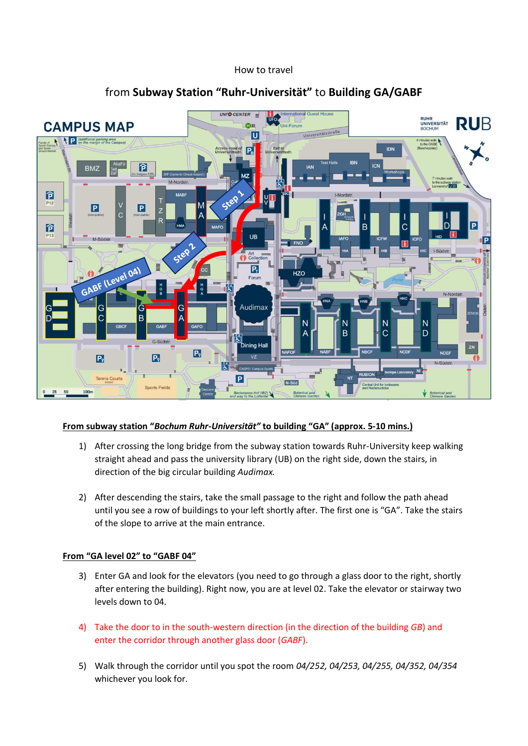#### How to travel



## from **Subway Station "Ruhr-Universität"** to **Building GA/GABF**

### **From subway station "***Bochum Ruhr-Universität"* **to building "GA" (approx. 5-10 mins.)**

- 1) After crossing the long bridge from the subway station towards Ruhr-University keep walking straight ahead and pass the university library (UB) on the right side, down the stairs, in direction of the big circular building *Audimax.*
- 2) After descending the stairs, take the small passage to the right and follow the path ahead until you see a row of buildings to your left shortly after. The first one is "GA". Take the stairs of the slope to arrive at the main entrance.

### **From "GA level 02" to "GABF 04"**

- 3) Enter GA and look for the elevators (you need to go through a glass door to the right, shortly after entering the building). Right now, you are at level 02. Take the elevator or stairway two levels down to 04.
- 4) Take the door to in the south-western direction (in the direction of the building *GB*) and enter the corridor through another glass door (*GABF*).
- 5) Walk through the corridor until you spot the room *04/252, 04/253, 04/255, 04/352, 04/354* whichever you look for.